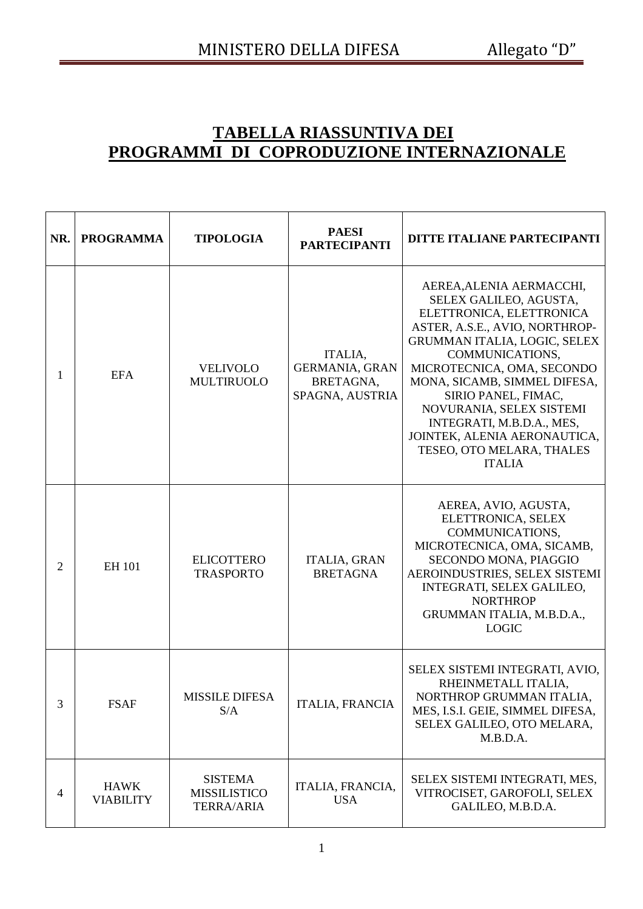## **TABELLA RIASSUNTIVA DEI PROGRAMMI DI COPRODUZIONE INTERNAZIONALE**

| NR.            | <b>PROGRAMMA</b>                | <b>TIPOLOGIA</b>                                           | <b>PAESI</b><br><b>PARTECIPANTI</b>                              | DITTE ITALIANE PARTECIPANTI                                                                                                                                                                                                                                                                                                                                                                     |
|----------------|---------------------------------|------------------------------------------------------------|------------------------------------------------------------------|-------------------------------------------------------------------------------------------------------------------------------------------------------------------------------------------------------------------------------------------------------------------------------------------------------------------------------------------------------------------------------------------------|
| 1              | <b>EFA</b>                      | <b>VELIVOLO</b><br><b>MULTIRUOLO</b>                       | ITALIA,<br><b>GERMANIA, GRAN</b><br>BRETAGNA,<br>SPAGNA, AUSTRIA | AEREA, ALENIA AERMACCHI,<br>SELEX GALILEO, AGUSTA,<br>ELETTRONICA, ELETTRONICA<br>ASTER, A.S.E., AVIO, NORTHROP-<br>GRUMMAN ITALIA, LOGIC, SELEX<br>COMMUNICATIONS,<br>MICROTECNICA, OMA, SECONDO<br>MONA, SICAMB, SIMMEL DIFESA,<br>SIRIO PANEL, FIMAC,<br>NOVURANIA, SELEX SISTEMI<br>INTEGRATI, M.B.D.A., MES,<br>JOINTEK, ALENIA AERONAUTICA,<br>TESEO, OTO MELARA, THALES<br><b>ITALIA</b> |
| $\overline{2}$ | <b>EH 101</b>                   | <b>ELICOTTERO</b><br><b>TRASPORTO</b>                      | <b>ITALIA, GRAN</b><br><b>BRETAGNA</b>                           | AEREA, AVIO, AGUSTA,<br>ELETTRONICA, SELEX<br>COMMUNICATIONS,<br>MICROTECNICA, OMA, SICAMB,<br>SECONDO MONA, PIAGGIO<br>AEROINDUSTRIES, SELEX SISTEMI<br>INTEGRATI, SELEX GALILEO,<br><b>NORTHROP</b><br>GRUMMAN ITALIA, M.B.D.A.,<br><b>LOGIC</b>                                                                                                                                              |
| 3              | <b>FSAF</b>                     | <b>MISSILE DIFESA</b><br>S/A                               | <b>ITALIA, FRANCIA</b>                                           | SELEX SISTEMI INTEGRATI, AVIO,<br>RHEINMETALL ITALIA,<br>NORTHROP GRUMMAN ITALIA,<br>MES, I.S.I. GEIE, SIMMEL DIFESA,<br>SELEX GALILEO, OTO MELARA,<br>M.B.D.A.                                                                                                                                                                                                                                 |
| 4              | <b>HAWK</b><br><b>VIABILITY</b> | <b>SISTEMA</b><br><b>MISSILISTICO</b><br><b>TERRA/ARIA</b> | ITALIA, FRANCIA,<br><b>USA</b>                                   | SELEX SISTEMI INTEGRATI, MES,<br>VITROCISET, GAROFOLI, SELEX<br>GALILEO, M.B.D.A.                                                                                                                                                                                                                                                                                                               |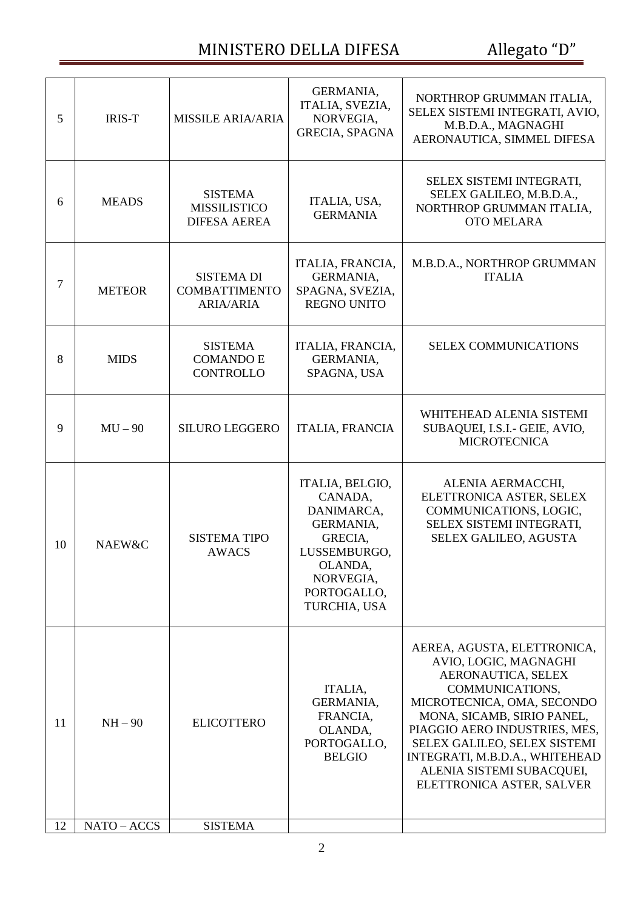## MINISTERO DELLA DIFESA Allegato "D"

| 5  | <b>IRIS-T</b> | <b>MISSILE ARIA/ARIA</b>                                      | GERMANIA,<br>ITALIA, SVEZIA,<br>NORVEGIA,<br><b>GRECIA, SPAGNA</b>                                                                      | NORTHROP GRUMMAN ITALIA,<br>SELEX SISTEMI INTEGRATI, AVIO,<br>M.B.D.A., MAGNAGHI<br>AERONAUTICA, SIMMEL DIFESA                                                                                                                                                                                                         |
|----|---------------|---------------------------------------------------------------|-----------------------------------------------------------------------------------------------------------------------------------------|------------------------------------------------------------------------------------------------------------------------------------------------------------------------------------------------------------------------------------------------------------------------------------------------------------------------|
| 6  | <b>MEADS</b>  | <b>SISTEMA</b><br><b>MISSILISTICO</b><br><b>DIFESA AEREA</b>  | ITALIA, USA,<br><b>GERMANIA</b>                                                                                                         | SELEX SISTEMI INTEGRATI,<br>SELEX GALILEO, M.B.D.A.,<br>NORTHROP GRUMMAN ITALIA,<br><b>OTO MELARA</b>                                                                                                                                                                                                                  |
| 7  | <b>METEOR</b> | <b>SISTEMA DI</b><br><b>COMBATTIMENTO</b><br><b>ARIA/ARIA</b> | ITALIA, FRANCIA,<br>GERMANIA,<br>SPAGNA, SVEZIA,<br><b>REGNO UNITO</b>                                                                  | M.B.D.A., NORTHROP GRUMMAN<br><b>ITALIA</b>                                                                                                                                                                                                                                                                            |
| 8  | <b>MIDS</b>   | <b>SISTEMA</b><br><b>COMANDO E</b><br><b>CONTROLLO</b>        | ITALIA, FRANCIA,<br>GERMANIA,<br>SPAGNA, USA                                                                                            | <b>SELEX COMMUNICATIONS</b>                                                                                                                                                                                                                                                                                            |
| 9  | $MU - 90$     | <b>SILURO LEGGERO</b>                                         | <b>ITALIA, FRANCIA</b>                                                                                                                  | WHITEHEAD ALENIA SISTEMI<br>SUBAQUEI, I.S.I.- GEIE, AVIO,<br><b>MICROTECNICA</b>                                                                                                                                                                                                                                       |
| 10 | NAEW&C        | <b>SISTEMA TIPO</b><br><b>AWACS</b>                           | ITALIA, BELGIO,<br>CANADA,<br>DANIMARCA,<br>GERMANIA,<br>GRECIA,<br>LUSSEMBURGO,<br>OLANDA,<br>NORVEGIA,<br>PORTOGALLO,<br>TURCHIA, USA | ALENIA AERMACCHI,<br>ELETTRONICA ASTER, SELEX<br>COMMUNICATIONS, LOGIC,<br>SELEX SISTEMI INTEGRATI,<br>SELEX GALILEO, AGUSTA                                                                                                                                                                                           |
| 11 | $NH - 90$     | <b>ELICOTTERO</b>                                             | ITALIA,<br>GERMANIA,<br>FRANCIA,<br>OLANDA,<br>PORTOGALLO,<br><b>BELGIO</b>                                                             | AEREA, AGUSTA, ELETTRONICA,<br>AVIO, LOGIC, MAGNAGHI<br>AERONAUTICA, SELEX<br>COMMUNICATIONS,<br>MICROTECNICA, OMA, SECONDO<br>MONA, SICAMB, SIRIO PANEL,<br>PIAGGIO AERO INDUSTRIES, MES,<br>SELEX GALILEO, SELEX SISTEMI<br>INTEGRATI, M.B.D.A., WHITEHEAD<br>ALENIA SISTEMI SUBACQUEI,<br>ELETTRONICA ASTER, SALVER |
| 12 | NATO - ACCS   | <b>SISTEMA</b>                                                |                                                                                                                                         |                                                                                                                                                                                                                                                                                                                        |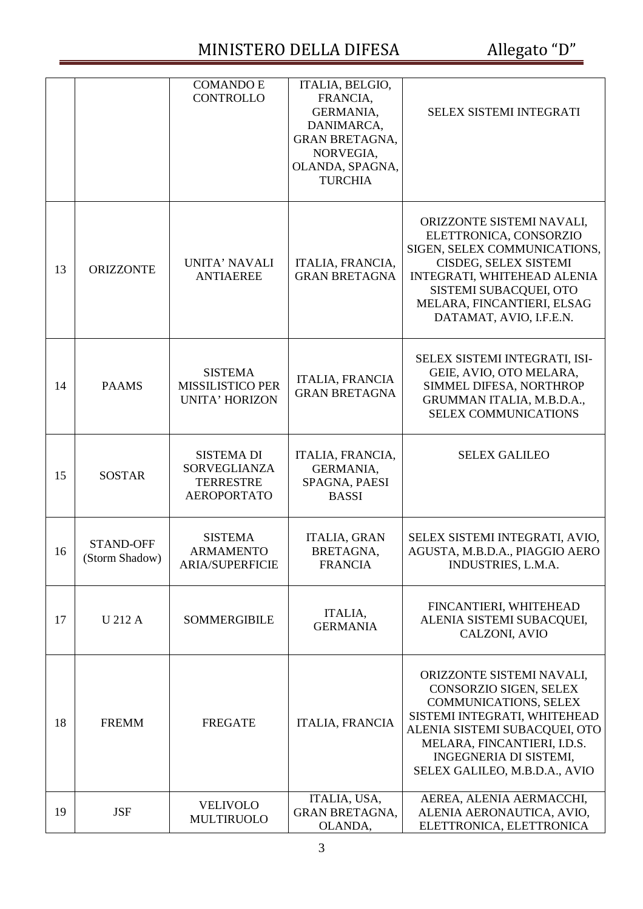## MINISTERO DELLA DIFESA Allegato "D"

|    |                                    | <b>COMANDO E</b><br><b>CONTROLLO</b>                                        | ITALIA, BELGIO,<br>FRANCIA,<br>GERMANIA,<br>DANIMARCA,<br><b>GRAN BRETAGNA,</b><br>NORVEGIA,<br>OLANDA, SPAGNA,<br><b>TURCHIA</b> | <b>SELEX SISTEMI INTEGRATI</b>                                                                                                                                                                                                                 |
|----|------------------------------------|-----------------------------------------------------------------------------|-----------------------------------------------------------------------------------------------------------------------------------|------------------------------------------------------------------------------------------------------------------------------------------------------------------------------------------------------------------------------------------------|
| 13 | <b>ORIZZONTE</b>                   | UNITA' NAVALI<br><b>ANTIAEREE</b>                                           | ITALIA, FRANCIA,<br><b>GRAN BRETAGNA</b>                                                                                          | ORIZZONTE SISTEMI NAVALI,<br>ELETTRONICA, CONSORZIO<br>SIGEN, SELEX COMMUNICATIONS,<br>CISDEG, SELEX SISTEMI<br>INTEGRATI, WHITEHEAD ALENIA<br>SISTEMI SUBACQUEI, OTO<br>MELARA, FINCANTIERI, ELSAG<br>DATAMAT, AVIO, I.F.E.N.                 |
| 14 | <b>PAAMS</b>                       | <b>SISTEMA</b><br><b>MISSILISTICO PER</b><br><b>UNITA' HORIZON</b>          | <b>ITALIA, FRANCIA</b><br><b>GRAN BRETAGNA</b>                                                                                    | SELEX SISTEMI INTEGRATI, ISI-<br>GEIE, AVIO, OTO MELARA,<br>SIMMEL DIFESA, NORTHROP<br>GRUMMAN ITALIA, M.B.D.A.,<br><b>SELEX COMMUNICATIONS</b>                                                                                                |
| 15 | <b>SOSTAR</b>                      | <b>SISTEMA DI</b><br>SORVEGLIANZA<br><b>TERRESTRE</b><br><b>AEROPORTATO</b> | ITALIA, FRANCIA,<br>GERMANIA,<br>SPAGNA, PAESI<br><b>BASSI</b>                                                                    | <b>SELEX GALILEO</b>                                                                                                                                                                                                                           |
| 16 | <b>STAND-OFF</b><br>(Storm Shadow) | <b>SISTEMA</b><br><b>ARMAMENTO</b><br><b>ARIA/SUPERFICIE</b>                | <b>ITALIA, GRAN</b><br>BRETAGNA,<br><b>FRANCIA</b>                                                                                | SELEX SISTEMI INTEGRATI, AVIO,<br>AGUSTA, M.B.D.A., PIAGGIO AERO<br>INDUSTRIES, L.M.A.                                                                                                                                                         |
| 17 | <b>U212A</b>                       | <b>SOMMERGIBILE</b>                                                         | ITALIA,<br><b>GERMANIA</b>                                                                                                        | FINCANTIERI, WHITEHEAD<br>ALENIA SISTEMI SUBACQUEI,<br>CALZONI, AVIO                                                                                                                                                                           |
| 18 | <b>FREMM</b>                       | <b>FREGATE</b>                                                              | <b>ITALIA, FRANCIA</b>                                                                                                            | ORIZZONTE SISTEMI NAVALI,<br>CONSORZIO SIGEN, SELEX<br><b>COMMUNICATIONS, SELEX</b><br>SISTEMI INTEGRATI, WHITEHEAD<br>ALENIA SISTEMI SUBACQUEI, OTO<br>MELARA, FINCANTIERI, I.D.S.<br>INGEGNERIA DI SISTEMI,<br>SELEX GALILEO, M.B.D.A., AVIO |
| 19 | <b>JSF</b>                         | <b>VELIVOLO</b><br><b>MULTIRUOLO</b>                                        | ITALIA, USA,<br><b>GRAN BRETAGNA,</b><br>OLANDA,                                                                                  | AEREA, ALENIA AERMACCHI,<br>ALENIA AERONAUTICA, AVIO,<br>ELETTRONICA, ELETTRONICA                                                                                                                                                              |